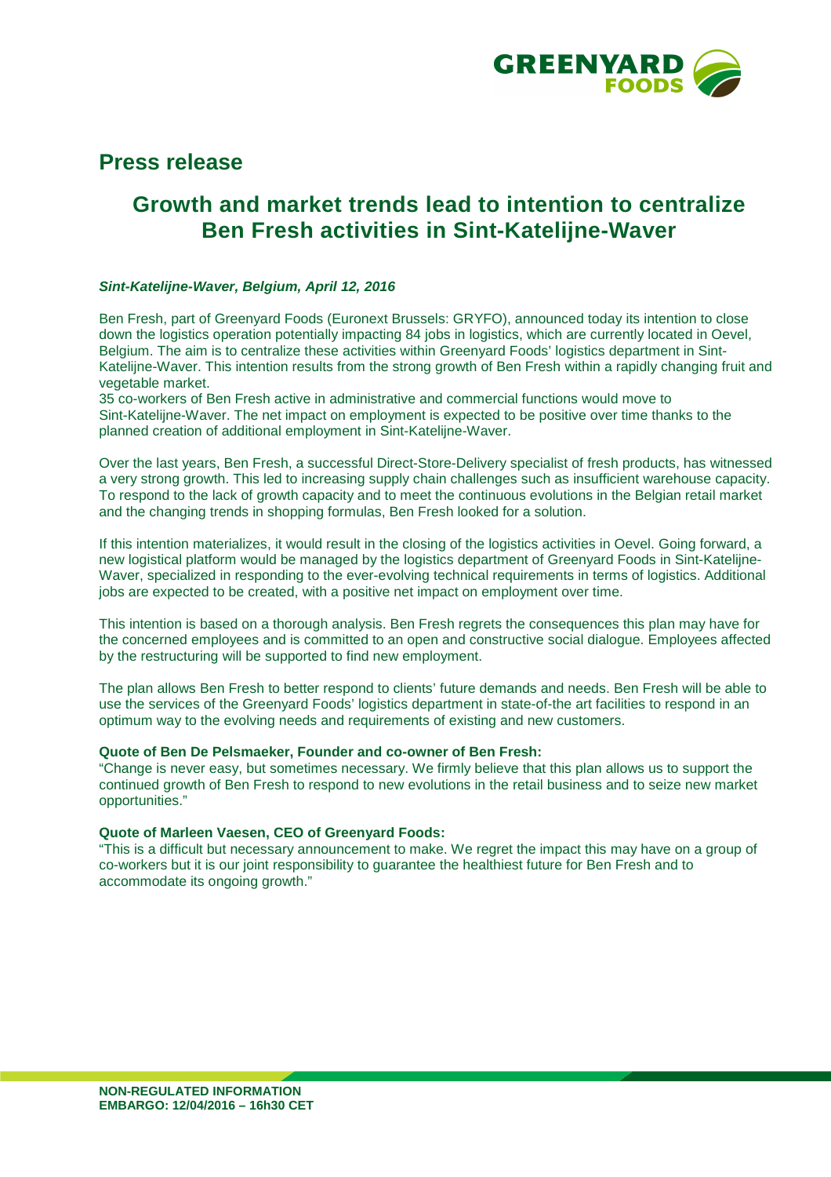

# **Press release**

# **Growth and market trends lead to intention to centralize Ben Fresh activities in Sint-Katelijne-Waver**

## **Sint-Katelijne-Waver, Belgium, April 12, 2016**

Ben Fresh, part of Greenyard Foods (Euronext Brussels: GRYFO), announced today its intention to close down the logistics operation potentially impacting 84 jobs in logistics, which are currently located in Oevel, Belgium. The aim is to centralize these activities within Greenyard Foods' logistics department in Sint-Katelijne-Waver. This intention results from the strong growth of Ben Fresh within a rapidly changing fruit and vegetable market.

35 co-workers of Ben Fresh active in administrative and commercial functions would move to Sint-Katelijne-Waver. The net impact on employment is expected to be positive over time thanks to the planned creation of additional employment in Sint-Katelijne-Waver.

Over the last years, Ben Fresh, a successful Direct-Store-Delivery specialist of fresh products, has witnessed a very strong growth. This led to increasing supply chain challenges such as insufficient warehouse capacity. To respond to the lack of growth capacity and to meet the continuous evolutions in the Belgian retail market and the changing trends in shopping formulas, Ben Fresh looked for a solution.

If this intention materializes, it would result in the closing of the logistics activities in Oevel. Going forward, a new logistical platform would be managed by the logistics department of Greenyard Foods in Sint-Katelijne-Waver, specialized in responding to the ever-evolving technical requirements in terms of logistics. Additional jobs are expected to be created, with a positive net impact on employment over time.

This intention is based on a thorough analysis. Ben Fresh regrets the consequences this plan may have for the concerned employees and is committed to an open and constructive social dialogue. Employees affected by the restructuring will be supported to find new employment.

The plan allows Ben Fresh to better respond to clients' future demands and needs. Ben Fresh will be able to use the services of the Greenyard Foods' logistics department in state-of-the art facilities to respond in an optimum way to the evolving needs and requirements of existing and new customers.

#### **Quote of Ben De Pelsmaeker, Founder and co-owner of Ben Fresh:**

"Change is never easy, but sometimes necessary. We firmly believe that this plan allows us to support the continued growth of Ben Fresh to respond to new evolutions in the retail business and to seize new market opportunities."

#### **Quote of Marleen Vaesen, CEO of Greenyard Foods:**

"This is a difficult but necessary announcement to make. We regret the impact this may have on a group of co-workers but it is our joint responsibility to guarantee the healthiest future for Ben Fresh and to accommodate its ongoing growth."